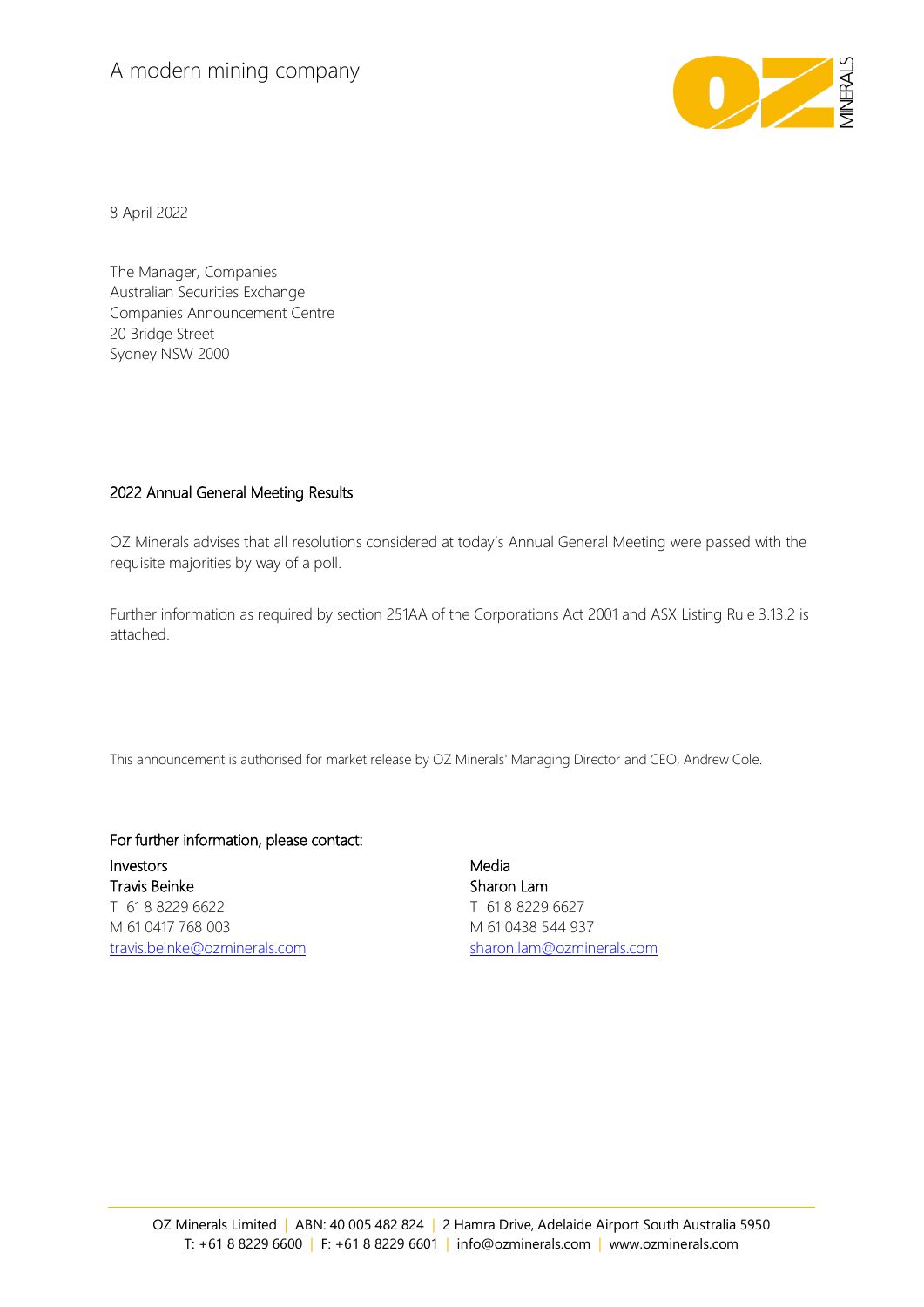## A modern mining company



8 April 2022

The Manager, Companies Australian Securities Exchange Companies Announcement Centre 20 Bridge Street Sydney NSW 2000

## 2022 Annual General Meeting Results

OZ Minerals advises that all resolutions considered at today's Annual General Meeting were passed with the requisite majorities by way of a poll.

Further information as required by section 251AA of the Corporations Act 2001 and ASX Listing Rule 3.13.2 is attached.

This announcement is authorised for market release by OZ Minerals' Managing Director and CEO, Andrew Cole.

## For further information, please contact:

Investors Travis Beinke T 61 8 8229 6622 M 61 0417 768 003 [travis.beinke@ozminerals.com](mailto:travis.beinke@ozminerals.com)

Media Sharon Lam T 61 8 8229 6627 M 61 0438 544 937 [sharon.lam@ozminerals.com](mailto:sharon.lam@ozminerals.com)